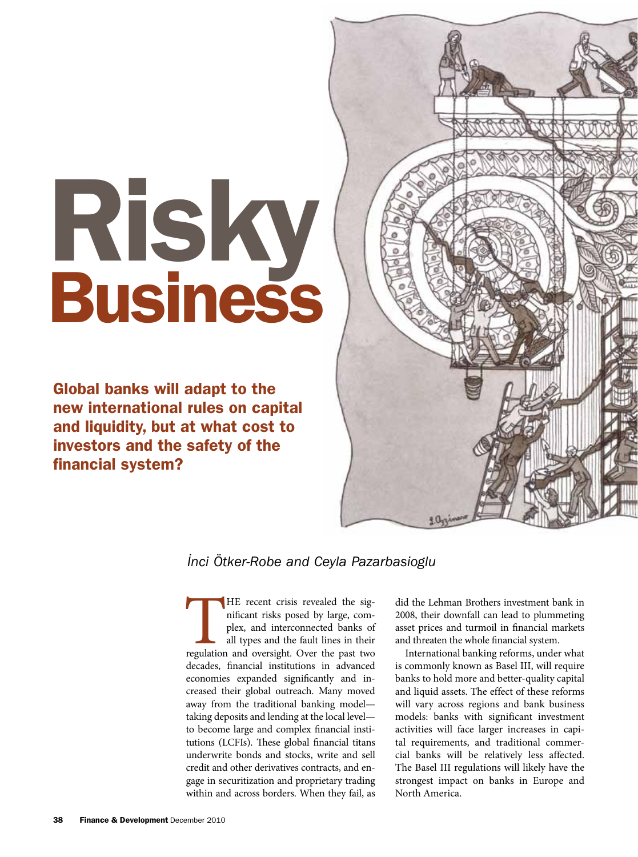# Risky Business

Global banks will adapt to the new international rules on capital and liquidity, but at what cost to investors and the safety of the financial system?



# *˙Inci Ötker-Robe and Ceyla Pazarbasioglu*

THE recent crisis revealed the significant risks posed by large, complex, and interconnected banks of all types and the fault lines in their regulation and oversight. Over the past two nificant risks posed by large, complex, and interconnected banks of all types and the fault lines in their decades, financial institutions in advanced economies expanded significantly and increased their global outreach. Many moved away from the traditional banking model taking deposits and lending at the local level to become large and complex financial institutions (LCFIs). These global financial titans underwrite bonds and stocks, write and sell credit and other derivatives contracts, and engage in securitization and proprietary trading within and across borders. When they fail, as

did the Lehman Brothers investment bank in 2008, their downfall can lead to plummeting asset prices and turmoil in financial markets and threaten the whole financial system.

International banking reforms, under what is commonly known as Basel III, will require banks to hold more and better-quality capital and liquid assets. The effect of these reforms will vary across regions and bank business models: banks with significant investment activities will face larger increases in capital requirements, and traditional commercial banks will be relatively less affected. The Basel III regulations will likely have the strongest impact on banks in Europe and North America.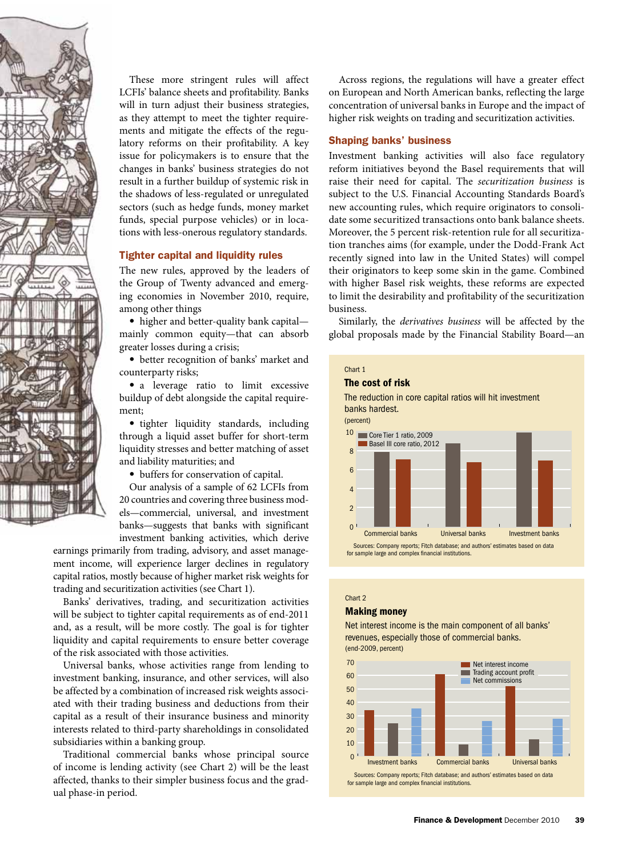

These more stringent rules will affect LCFIs' balance sheets and profitability. Banks will in turn adjust their business strategies, as they attempt to meet the tighter requirements and mitigate the effects of the regulatory reforms on their profitability. A key issue for policymakers is to ensure that the changes in banks' business strategies do not result in a further buildup of systemic risk in the shadows of less-regulated or unregulated sectors (such as hedge funds, money market funds, special purpose vehicles) or in locations with less-onerous regulatory standards.

### Tighter capital and liquidity rules

The new rules, approved by the leaders of the Group of Twenty advanced and emerging economies in November 2010, require, among other things

• higher and better-quality bank capital mainly common equity—that can absorb greater losses during a crisis;

• better recognition of banks' market and counterparty risks;

• a leverage ratio to limit excessive buildup of debt alongside the capital requirement;

• tighter liquidity standards, including through a liquid asset buffer for short-term liquidity stresses and better matching of asset and liability maturities; and

• buffers for conservation of capital.

Our analysis of a sample of 62 LCFIs from 20 countries and covering three business models—commercial, universal, and investment banks—suggests that banks with significant investment banking activities, which derive

earnings primarily from trading, advisory, and asset management income, will experience larger declines in regulatory capital ratios, mostly because of higher market risk weights for trading and securitization activities (see Chart 1).

Banks' derivatives, trading, and securitization activities will be subject to tighter capital requirements as of end-2011 and, as a result, will be more costly. The goal is for tighter liquidity and capital requirements to ensure better coverage of the risk associated with those activities.

Universal banks, whose activities range from lending to investment banking, insurance, and other services, will also be affected by a combination of increased risk weights associated with their trading business and deductions from their capital as a result of their insurance business and minority interests related to third-party shareholdings in consolidated subsidiaries within a banking group.

Traditional commercial banks whose principal source of income is lending activity (see Chart 2) will be the least affected, thanks to their simpler business focus and the gradual phase-in period.

Across regions, the regulations will have a greater effect on European and North American banks, reflecting the large concentration of universal banks in Europe and the impact of higher risk weights on trading and securitization activities.

#### Shaping banks' business

Investment banking activities will also face regulatory reform initiatives beyond the Basel requirements that will raise their need for capital. The *securitization business* is subject to the U.S. Financial Accounting Standards Board's new accounting rules, which require originators to consolidate some securitized transactions onto bank balance sheets. Moreover, the 5 percent risk-retention rule for all securitization tranches aims (for example, under the Dodd-Frank Act recently signed into law in the United States) will compel their originators to keep some skin in the game. Combined with higher Basel risk weights, these reforms are expected to limit the desirability and profitability of the securitization business.

Similarly, the *derivatives business* will be affected by the global proposals made by the Financial Stability Board—an



#### Chart 2

# Making money

Net interest income is the main component of all banks' revenues, especially those of commercial banks. (end-2009, percent)